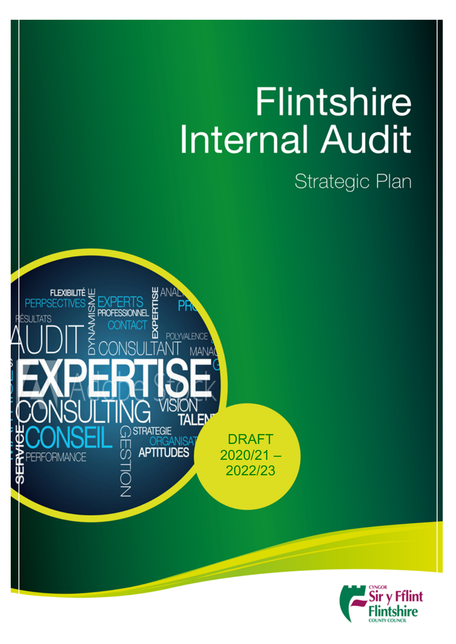# **Flintshire Internal Audit**

## Strategic Plan



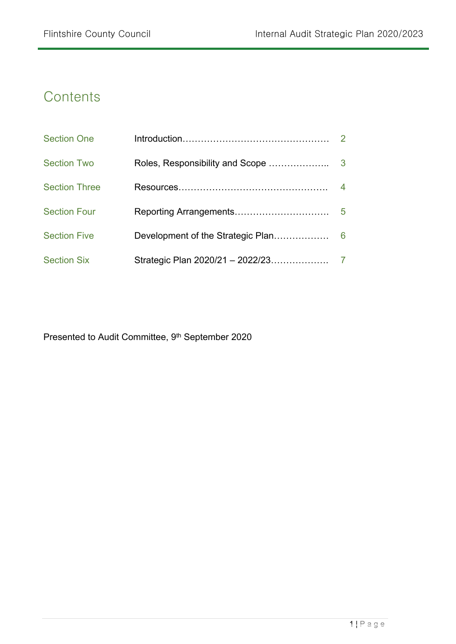## **Contents**

| <b>Section One</b>   |                                   |                |
|----------------------|-----------------------------------|----------------|
| <b>Section Two</b>   | Roles, Responsibility and Scope   | 3              |
| <b>Section Three</b> |                                   | $\overline{4}$ |
| <b>Section Four</b>  |                                   | 5              |
| <b>Section Five</b>  | Development of the Strategic Plan | 6              |
| <b>Section Six</b>   | Strategic Plan 2020/21 - 2022/23  |                |

Presented to Audit Committee, 9<sup>th</sup> September 2020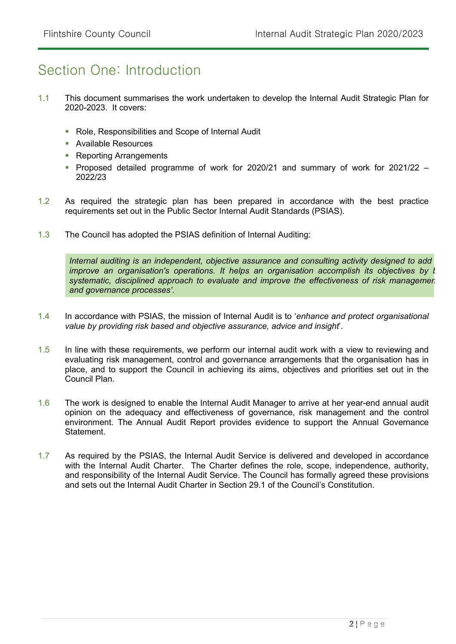## Section One: Introduction

- 1.1 This document summarises the work undertaken to develop the Internal Audit Strategic Plan for 2020-2023. It covers:
	- Role, Responsibilities and Scope of Internal Audit
	- **Available Resources**
	- **Reporting Arrangements**
	- Proposed detailed programme of work for 2020/21 and summary of work for  $2021/22 -$ 2022/23
- 1.2 As required the strategic plan has been prepared in accordance with the best practice requirements set out in the Public Sector Internal Audit Standards (PSIAS).
- 1.3 The Council has adopted the PSIAS definition of Internal Auditing:

*Internal auditing is an independent, objective assurance and consulting activity designed to add improve* an *organisation's operations.* It helps an *organisation accomplish its objectives by k systematic, disciplined approach to evaluate and improve the effectiveness of risk management, control, and governance processes'.*

- 1.4 In accordance with PSIAS, the mission of Internal Audit is to '*enhance and protect organisational value by providing risk based and objective assurance, advice and insight*'.
- 1.5 In line with these requirements, we perform our internal audit work with a view to reviewing and evaluating risk management, control and governance arrangements that the organisation has in place, and to support the Council in achieving its aims, objectives and priorities set out in the Council Plan.
- 1.6 The work is designed to enable the Internal Audit Manager to arrive at her year-end annual audit opinion on the adequacy and effectiveness of governance, risk management and the control environment. The Annual Audit Report provides evidence to support the Annual Governance Statement.
- 1.7 As required by the PSIAS, the Internal Audit Service is delivered and developed in accordance with the Internal Audit Charter. The Charter defines the role, scope, independence, authority, and responsibility of the Internal Audit Service. The Council has formally agreed these provisions and sets out the Internal Audit Charter in Section 29.1 of the Council's Constitution.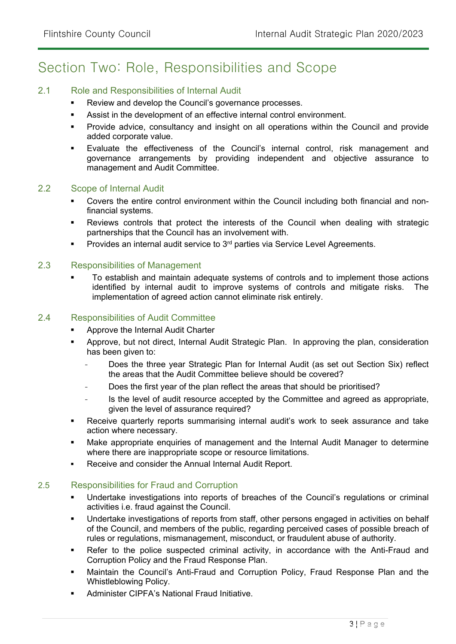## Section Two: Role, Responsibilities and Scope

#### 2.1 Role and Responsibilities of Internal Audit

- **Review and develop the Council's governance processes.**
- Assist in the development of an effective internal control environment.
- Provide advice, consultancy and insight on all operations within the Council and provide added corporate value.
- Evaluate the effectiveness of the Council's internal control, risk management and governance arrangements by providing independent and objective assurance to management and Audit Committee.

#### 2.2 Scope of Internal Audit

- Covers the entire control environment within the Council including both financial and nonfinancial systems.
- Reviews controls that protect the interests of the Council when dealing with strategic partnerships that the Council has an involvement with.
- Provides an internal audit service to 3<sup>rd</sup> parties via Service Level Agreements.

#### 2.3 Responsibilities of Management

 To establish and maintain adequate systems of controls and to implement those actions identified by internal audit to improve systems of controls and mitigate risks. The implementation of agreed action cannot eliminate risk entirely.

#### 2.4 Responsibilities of Audit Committee

- Approve the Internal Audit Charter
- Approve, but not direct, Internal Audit Strategic Plan. In approving the plan, consideration has been given to:
	- Does the three year Strategic Plan for Internal Audit (as set out Section Six) reflect the areas that the Audit Committee believe should be covered?
	- Does the first year of the plan reflect the areas that should be prioritised?
	- Is the level of audit resource accepted by the Committee and agreed as appropriate, given the level of assurance required?
- Receive quarterly reports summarising internal audit's work to seek assurance and take action where necessary.
- Make appropriate enquiries of management and the Internal Audit Manager to determine where there are inappropriate scope or resource limitations.
- Receive and consider the Annual Internal Audit Report.

#### 2.5 Responsibilities for Fraud and Corruption

- Undertake investigations into reports of breaches of the Council's regulations or criminal activities i.e. fraud against the Council.
- Undertake investigations of reports from staff, other persons engaged in activities on behalf of the Council, and members of the public, regarding perceived cases of possible breach of rules or regulations, mismanagement, misconduct, or fraudulent abuse of authority.
- Refer to the police suspected criminal activity, in accordance with the Anti-Fraud and Corruption Policy and the Fraud Response Plan.
- Maintain the Council's Anti-Fraud and Corruption Policy, Fraud Response Plan and the Whistleblowing Policy.
- Administer CIPFA's National Fraud Initiative.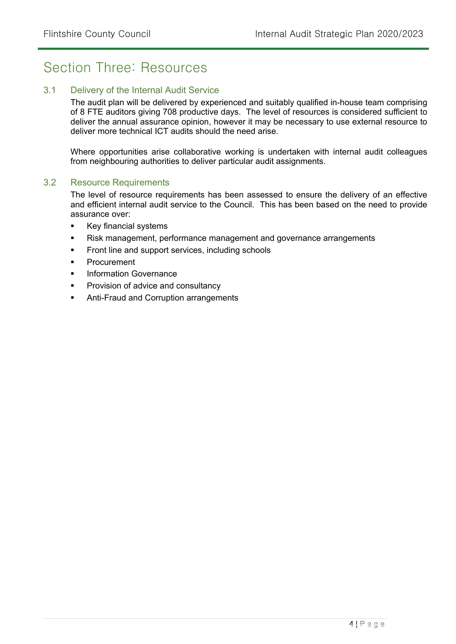### Section Three: Resources

#### 3.1 Delivery of the Internal Audit Service

The audit plan will be delivered by experienced and suitably qualified in-house team comprising of 8 FTE auditors giving 708 productive days. The level of resources is considered sufficient to deliver the annual assurance opinion, however it may be necessary to use external resource to deliver more technical ICT audits should the need arise.

Where opportunities arise collaborative working is undertaken with internal audit colleagues from neighbouring authorities to deliver particular audit assignments.

#### 3.2 Resource Requirements

The level of resource requirements has been assessed to ensure the delivery of an effective and efficient internal audit service to the Council. This has been based on the need to provide assurance over:

- **Key financial systems**
- Risk management, performance management and governance arrangements
- Front line and support services, including schools
- Procurement
- Information Governance
- Provision of advice and consultancy
- **Anti-Fraud and Corruption arrangements**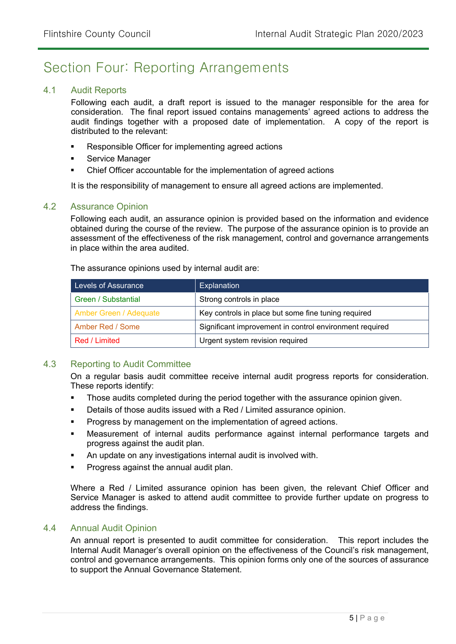## Section Four: Reporting Arrangements

#### 4.1 Audit Reports

Following each audit, a draft report is issued to the manager responsible for the area for consideration. The final report issued contains managements' agreed actions to address the audit findings together with a proposed date of implementation. A copy of the report is distributed to the relevant:

- Responsible Officer for implementing agreed actions
- **Service Manager**
- Chief Officer accountable for the implementation of agreed actions

It is the responsibility of management to ensure all agreed actions are implemented.

#### 4.2 Assurance Opinion

Following each audit, an assurance opinion is provided based on the information and evidence obtained during the course of the review. The purpose of the assurance opinion is to provide an assessment of the effectiveness of the risk management, control and governance arrangements in place within the area audited.

The assurance opinions used by internal audit are:

| Levels of Assurance           | <b>Explanation</b>                                      |
|-------------------------------|---------------------------------------------------------|
| Green / Substantial           | Strong controls in place                                |
| <b>Amber Green / Adequate</b> | Key controls in place but some fine tuning required     |
| Amber Red / Some              | Significant improvement in control environment required |
| Red / Limited                 | Urgent system revision required                         |

#### 4.3 Reporting to Audit Committee

On a regular basis audit committee receive internal audit progress reports for consideration. These reports identify:

- **Those audits completed during the period together with the assurance opinion given.**
- Details of those audits issued with a Red / Limited assurance opinion.
- **Progress by management on the implementation of agreed actions.**
- Measurement of internal audits performance against internal performance targets and progress against the audit plan.
- An update on any investigations internal audit is involved with.
- Progress against the annual audit plan.

Where a Red / Limited assurance opinion has been given, the relevant Chief Officer and Service Manager is asked to attend audit committee to provide further update on progress to address the findings.

#### 4.4 Annual Audit Opinion

An annual report is presented to audit committee for consideration. This report includes the Internal Audit Manager's overall opinion on the effectiveness of the Council's risk management, control and governance arrangements. This opinion forms only one of the sources of assurance to support the Annual Governance Statement.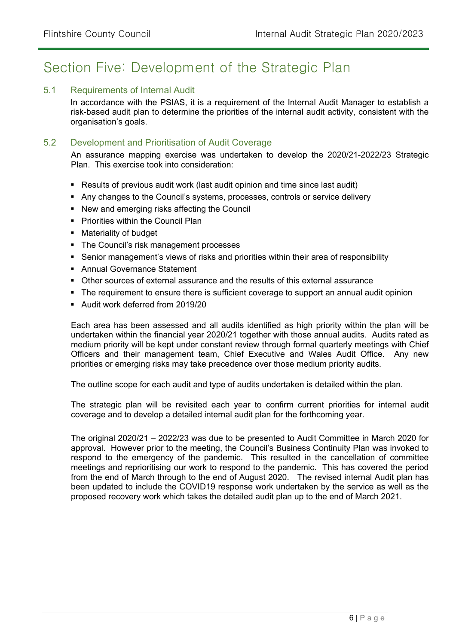## Section Five: Development of the Strategic Plan

#### 5.1 Requirements of Internal Audit

In accordance with the PSIAS, it is a requirement of the Internal Audit Manager to establish a risk-based audit plan to determine the priorities of the internal audit activity, consistent with the organisation's goals.

#### 5.2 Development and Prioritisation of Audit Coverage

An assurance mapping exercise was undertaken to develop the 2020/21-2022/23 Strategic Plan. This exercise took into consideration:

- Results of previous audit work (last audit opinion and time since last audit)
- Any changes to the Council's systems, processes, controls or service delivery
- New and emerging risks affecting the Council
- **Priorities within the Council Plan**
- **Materiality of budget**
- The Council's risk management processes
- Senior management's views of risks and priorities within their area of responsibility
- Annual Governance Statement
- Other sources of external assurance and the results of this external assurance
- The requirement to ensure there is sufficient coverage to support an annual audit opinion
- Audit work deferred from 2019/20

Each area has been assessed and all audits identified as high priority within the plan will be undertaken within the financial year 2020/21 together with those annual audits. Audits rated as medium priority will be kept under constant review through formal quarterly meetings with Chief Officers and their management team, Chief Executive and Wales Audit Office. Any new priorities or emerging risks may take precedence over those medium priority audits.

The outline scope for each audit and type of audits undertaken is detailed within the plan.

The strategic plan will be revisited each year to confirm current priorities for internal audit coverage and to develop a detailed internal audit plan for the forthcoming year.

The original 2020/21 – 2022/23 was due to be presented to Audit Committee in March 2020 for approval. However prior to the meeting, the Council's Business Continuity Plan was invoked to respond to the emergency of the pandemic. This resulted in the cancellation of committee meetings and reprioritising our work to respond to the pandemic. This has covered the period from the end of March through to the end of August 2020. The revised internal Audit plan has been updated to include the COVID19 response work undertaken by the service as well as the proposed recovery work which takes the detailed audit plan up to the end of March 2021.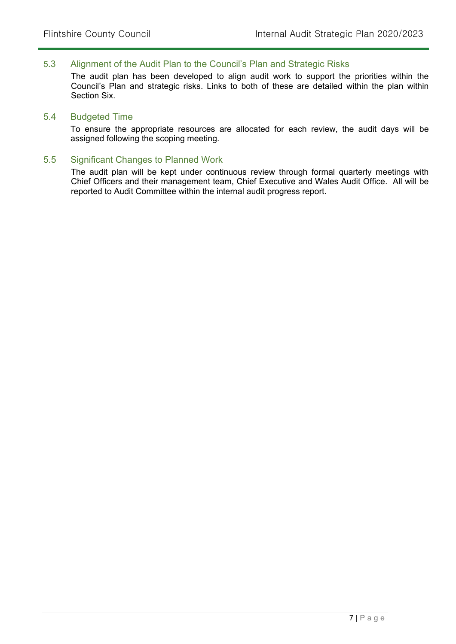#### 5.3 Alignment of the Audit Plan to the Council's Plan and Strategic Risks

The audit plan has been developed to align audit work to support the priorities within the Council's Plan and strategic risks. Links to both of these are detailed within the plan within Section Six.

#### 5.4 Budgeted Time

To ensure the appropriate resources are allocated for each review, the audit days will be assigned following the scoping meeting.

#### 5.5 Significant Changes to Planned Work

The audit plan will be kept under continuous review through formal quarterly meetings with Chief Officers and their management team, Chief Executive and Wales Audit Office. All will be reported to Audit Committee within the internal audit progress report.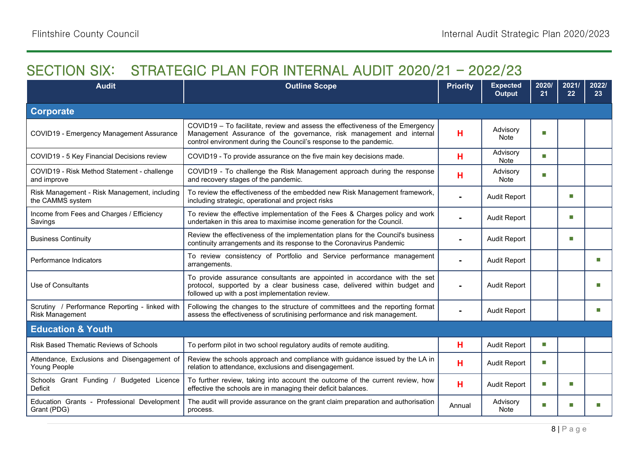## **SECTION SIX: STRATEGIC PLAN FOR INTERNAL AUDIT 2020/21 – 2022/23**

| <b>Audit</b>                                                             | <b>Outline Scope</b>                                                                                                                                                                                                        | <b>Priority</b> | <b>Expected</b><br><b>Output</b> | 2020/<br>21 | 2021/<br>22 | 2022/<br>23 <sup>°</sup> |
|--------------------------------------------------------------------------|-----------------------------------------------------------------------------------------------------------------------------------------------------------------------------------------------------------------------------|-----------------|----------------------------------|-------------|-------------|--------------------------|
| <b>Corporate</b>                                                         |                                                                                                                                                                                                                             |                 |                                  |             |             |                          |
| COVID19 - Emergency Management Assurance                                 | COVID19 - To facilitate, review and assess the effectiveness of the Emergency<br>Management Assurance of the governance, risk management and internal<br>control environment during the Council's response to the pandemic. | н               | Advisory<br>Note                 | П           |             |                          |
| COVID19 - 5 Key Financial Decisions review                               | COVID19 - To provide assurance on the five main key decisions made.                                                                                                                                                         | н               | Advisory<br><b>Note</b>          | П           |             |                          |
| COVID19 - Risk Method Statement - challenge<br>and improve               | COVID19 - To challenge the Risk Management approach during the response<br>and recovery stages of the pandemic.                                                                                                             | н               | Advisory<br>Note                 | П           |             |                          |
| Risk Management - Risk Management, including<br>the CAMMS system         | To review the effectiveness of the embedded new Risk Management framework,<br>including strategic, operational and project risks                                                                                            |                 | <b>Audit Report</b>              |             | m.          |                          |
| Income from Fees and Charges / Efficiency<br>Savings                     | To review the effective implementation of the Fees & Charges policy and work<br>undertaken in this area to maximise income generation for the Council.                                                                      |                 | <b>Audit Report</b>              |             | П           |                          |
| <b>Business Continuity</b>                                               | Review the effectiveness of the implementation plans for the Council's business<br>continuity arrangements and its response to the Coronavirus Pandemic                                                                     | $\blacksquare$  | <b>Audit Report</b>              |             | ш           |                          |
| Performance Indicators                                                   | To review consistency of Portfolio and Service performance management<br>arrangements.                                                                                                                                      | $\blacksquare$  | <b>Audit Report</b>              |             |             | П                        |
| Use of Consultants                                                       | To provide assurance consultants are appointed in accordance with the set<br>protocol, supported by a clear business case, delivered within budget and<br>followed up with a post implementation review.                    |                 | <b>Audit Report</b>              |             |             | ш                        |
| Scrutiny / Performance Reporting - linked with<br><b>Risk Management</b> | Following the changes to the structure of committees and the reporting format<br>assess the effectiveness of scrutinising performance and risk management.                                                                  | $\blacksquare$  | <b>Audit Report</b>              |             |             | ш                        |
| <b>Education &amp; Youth</b>                                             |                                                                                                                                                                                                                             |                 |                                  |             |             |                          |
| Risk Based Thematic Reviews of Schools                                   | To perform pilot in two school regulatory audits of remote auditing.                                                                                                                                                        | н               | <b>Audit Report</b>              | П           |             |                          |
| Attendance, Exclusions and Disengagement of<br>Young People              | Review the schools approach and compliance with guidance issued by the LA in<br>relation to attendance, exclusions and disengagement.                                                                                       | н               | <b>Audit Report</b>              | П           |             |                          |
| Schools Grant Funding / Budgeted Licence<br>Deficit                      | To further review, taking into account the outcome of the current review, how<br>effective the schools are in managing their deficit balances.                                                                              | н               | <b>Audit Report</b>              | П           | m.          |                          |
| Education Grants - Professional Development<br>Grant (PDG)               | The audit will provide assurance on the grant claim preparation and authorisation<br>process.                                                                                                                               | Annual          | Advisory<br><b>Note</b>          | П           | п           |                          |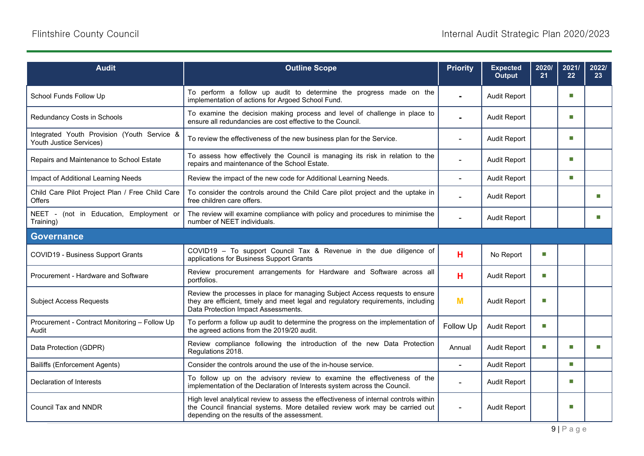| <b>Audit</b>                                                           | <b>Outline Scope</b>                                                                                                                                                                                               | <b>Priority</b> | <b>Expected</b><br><b>Output</b> | 2020/<br>21                 | 2021/<br>22    | 2022/<br>23 <sup>°</sup> |
|------------------------------------------------------------------------|--------------------------------------------------------------------------------------------------------------------------------------------------------------------------------------------------------------------|-----------------|----------------------------------|-----------------------------|----------------|--------------------------|
| School Funds Follow Up                                                 | To perform a follow up audit to determine the progress made on the<br>implementation of actions for Argoed School Fund.                                                                                            | $\blacksquare$  | <b>Audit Report</b>              |                             | m.             |                          |
| Redundancy Costs in Schools                                            | To examine the decision making process and level of challenge in place to<br>ensure all redundancies are cost effective to the Council.                                                                            |                 | <b>Audit Report</b>              |                             | m.             |                          |
| Integrated Youth Provision (Youth Service &<br>Youth Justice Services) | To review the effectiveness of the new business plan for the Service.                                                                                                                                              |                 | <b>Audit Report</b>              |                             | п              |                          |
| Repairs and Maintenance to School Estate                               | To assess how effectively the Council is managing its risk in relation to the<br>repairs and maintenance of the School Estate.                                                                                     |                 | <b>Audit Report</b>              |                             | $\blacksquare$ |                          |
| Impact of Additional Learning Needs                                    | Review the impact of the new code for Additional Learning Needs.                                                                                                                                                   |                 | <b>Audit Report</b>              |                             | $\blacksquare$ |                          |
| Child Care Pilot Project Plan / Free Child Care<br><b>Offers</b>       | To consider the controls around the Child Care pilot project and the uptake in<br>free children care offers.                                                                                                       |                 | <b>Audit Report</b>              |                             |                | П                        |
| NEET - (not in Education, Employment or<br>Training)                   | The review will examine compliance with policy and procedures to minimise the<br>number of NEET individuals.                                                                                                       | $\blacksquare$  | <b>Audit Report</b>              |                             |                | m.                       |
| <b>Governance</b>                                                      |                                                                                                                                                                                                                    |                 |                                  |                             |                |                          |
| <b>COVID19 - Business Support Grants</b>                               | COVID19 - To support Council Tax & Revenue in the due diligence of<br>applications for Business Support Grants                                                                                                     | н               | No Report                        | П                           |                |                          |
| Procurement - Hardware and Software                                    | Review procurement arrangements for Hardware and Software across all<br>portfolios.                                                                                                                                | н               | <b>Audit Report</b>              | П                           |                |                          |
| <b>Subject Access Requests</b>                                         | Review the processes in place for managing Subject Access requests to ensure<br>they are efficient, timely and meet legal and regulatory requirements, including<br>Data Protection Impact Assessments.            | M               | <b>Audit Report</b>              | п                           |                |                          |
| Procurement - Contract Monitoring - Follow Up<br>Audit                 | To perform a follow up audit to determine the progress on the implementation of<br>the agreed actions from the 2019/20 audit.                                                                                      | Follow Up       | <b>Audit Report</b>              | $\mathcal{L}_{\mathcal{A}}$ |                |                          |
| Data Protection (GDPR)                                                 | Review compliance following the introduction of the new Data Protection<br>Regulations 2018.                                                                                                                       | Annual          | <b>Audit Report</b>              | П                           | n.             | П                        |
| <b>Bailiffs (Enforcement Agents)</b>                                   | Consider the controls around the use of the in-house service.                                                                                                                                                      | $\blacksquare$  | <b>Audit Report</b>              |                             | m.             |                          |
| Declaration of Interests                                               | To follow up on the advisory review to examine the effectiveness of the<br>implementation of the Declaration of Interests system across the Council.                                                               |                 | Audit Report                     |                             | п              |                          |
| <b>Council Tax and NNDR</b>                                            | High level analytical review to assess the effectiveness of internal controls within<br>the Council financial systems. More detailed review work may be carried out<br>depending on the results of the assessment. | $\blacksquare$  | <b>Audit Report</b>              |                             | m.             |                          |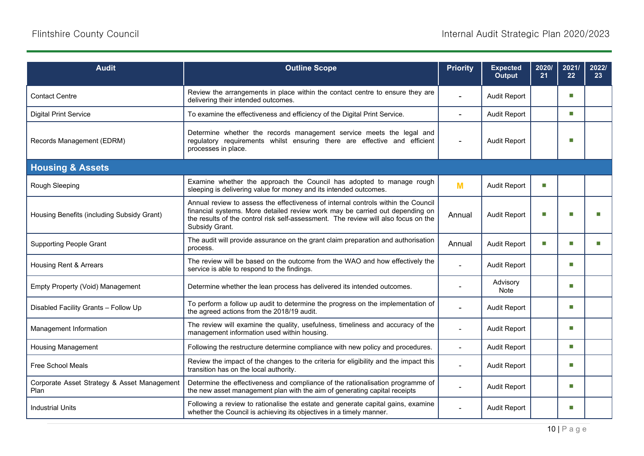| <b>Audit</b>                                        | <b>Outline Scope</b>                                                                                                                                                                                                                                                      | <b>Priority</b> | <b>Expected</b><br><b>Output</b> | 2020/<br>21 | 2021/<br>22 | 2022/<br>23 |
|-----------------------------------------------------|---------------------------------------------------------------------------------------------------------------------------------------------------------------------------------------------------------------------------------------------------------------------------|-----------------|----------------------------------|-------------|-------------|-------------|
| <b>Contact Centre</b>                               | Review the arrangements in place within the contact centre to ensure they are<br>delivering their intended outcomes.                                                                                                                                                      |                 | <b>Audit Report</b>              |             | п           |             |
| <b>Digital Print Service</b>                        | To examine the effectiveness and efficiency of the Digital Print Service.                                                                                                                                                                                                 | $\overline{a}$  | <b>Audit Report</b>              |             | п           |             |
| Records Management (EDRM)                           | Determine whether the records management service meets the legal and<br>regulatory requirements whilst ensuring there are effective and efficient<br>processes in place.                                                                                                  |                 | <b>Audit Report</b>              |             | п           |             |
| <b>Housing &amp; Assets</b>                         |                                                                                                                                                                                                                                                                           |                 |                                  |             |             |             |
| Rough Sleeping                                      | Examine whether the approach the Council has adopted to manage rough<br>sleeping is delivering value for money and its intended outcomes.                                                                                                                                 | M               | <b>Audit Report</b>              | П           |             |             |
| Housing Benefits (including Subsidy Grant)          | Annual review to assess the effectiveness of internal controls within the Council<br>financial systems. More detailed review work may be carried out depending on<br>the results of the control risk self-assessment. The review will also focus on the<br>Subsidy Grant. | Annual          | <b>Audit Report</b>              | T.          |             |             |
| <b>Supporting People Grant</b>                      | The audit will provide assurance on the grant claim preparation and authorisation<br>process.                                                                                                                                                                             | Annual          | <b>Audit Report</b>              | П           | □           |             |
| Housing Rent & Arrears                              | The review will be based on the outcome from the WAO and how effectively the<br>service is able to respond to the findings.                                                                                                                                               | $\overline{a}$  | <b>Audit Report</b>              |             | п           |             |
| Empty Property (Void) Management                    | Determine whether the lean process has delivered its intended outcomes.                                                                                                                                                                                                   |                 | Advisory<br>Note                 |             | п           |             |
| Disabled Facility Grants - Follow Up                | To perform a follow up audit to determine the progress on the implementation of<br>the agreed actions from the 2018/19 audit.                                                                                                                                             |                 | <b>Audit Report</b>              |             | п           |             |
| Management Information                              | The review will examine the quality, usefulness, timeliness and accuracy of the<br>management information used within housing.                                                                                                                                            |                 | <b>Audit Report</b>              |             | п           |             |
| <b>Housing Management</b>                           | Following the restructure determine compliance with new policy and procedures.                                                                                                                                                                                            | $\blacksquare$  | <b>Audit Report</b>              |             | п           |             |
| <b>Free School Meals</b>                            | Review the impact of the changes to the criteria for eligibility and the impact this<br>transition has on the local authority.                                                                                                                                            | ÷,              | <b>Audit Report</b>              |             | п           |             |
| Corporate Asset Strategy & Asset Management<br>Plan | Determine the effectiveness and compliance of the rationalisation programme of<br>the new asset management plan with the aim of generating capital receipts                                                                                                               |                 | <b>Audit Report</b>              |             | п           |             |
| <b>Industrial Units</b>                             | Following a review to rationalise the estate and generate capital gains, examine<br>whether the Council is achieving its objectives in a timely manner.                                                                                                                   | $\blacksquare$  | <b>Audit Report</b>              |             | п           |             |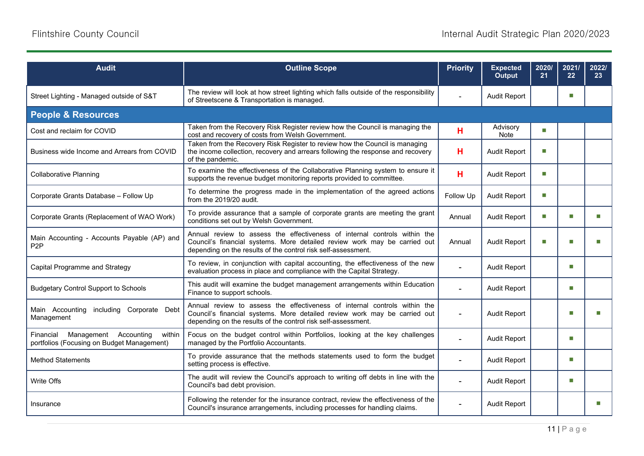| <b>Audit</b>                                                                               | <b>Outline Scope</b>                                                                                                                                                                                                    | <b>Priority</b> | <b>Expected</b><br><b>Output</b> | 2020/<br>21 | 2021/<br>22 | 2022/<br>23 <sub>2</sub> |
|--------------------------------------------------------------------------------------------|-------------------------------------------------------------------------------------------------------------------------------------------------------------------------------------------------------------------------|-----------------|----------------------------------|-------------|-------------|--------------------------|
| Street Lighting - Managed outside of S&T                                                   | The review will look at how street lighting which falls outside of the responsibility<br>of Streetscene & Transportation is managed.                                                                                    |                 | <b>Audit Report</b>              |             | П           |                          |
| <b>People &amp; Resources</b>                                                              |                                                                                                                                                                                                                         |                 |                                  |             |             |                          |
| Cost and reclaim for COVID                                                                 | Taken from the Recovery Risk Register review how the Council is managing the<br>cost and recovery of costs from Welsh Government.                                                                                       | н               | Advisory<br>Note                 | П           |             |                          |
| Business wide Income and Arrears from COVID                                                | Taken from the Recovery Risk Register to review how the Council is managing<br>the income collection, recovery and arrears following the response and recovery<br>of the pandemic.                                      | н               | <b>Audit Report</b>              | П           |             |                          |
| <b>Collaborative Planning</b>                                                              | To examine the effectiveness of the Collaborative Planning system to ensure it<br>supports the revenue budget monitoring reports provided to committee.                                                                 | H               | <b>Audit Report</b>              | П           |             |                          |
| Corporate Grants Database - Follow Up                                                      | To determine the progress made in the implementation of the agreed actions<br>from the 2019/20 audit.                                                                                                                   | Follow Up       | <b>Audit Report</b>              | П           |             |                          |
| Corporate Grants (Replacement of WAO Work)                                                 | To provide assurance that a sample of corporate grants are meeting the grant<br>conditions set out by Welsh Government.                                                                                                 | Annual          | <b>Audit Report</b>              | П           | п           | m.                       |
| Main Accounting - Accounts Payable (AP) and<br>P <sub>2</sub> P                            | Annual review to assess the effectiveness of internal controls within the<br>Council's financial systems. More detailed review work may be carried out<br>depending on the results of the control risk self-assessment. | Annual          | <b>Audit Report</b>              | П           |             |                          |
| Capital Programme and Strategy                                                             | To review, in conjunction with capital accounting, the effectiveness of the new<br>evaluation process in place and compliance with the Capital Strategy.                                                                |                 | <b>Audit Report</b>              |             | ш           |                          |
| <b>Budgetary Control Support to Schools</b>                                                | This audit will examine the budget management arrangements within Education<br>Finance to support schools.                                                                                                              |                 | <b>Audit Report</b>              |             | ш           |                          |
| Main Accounting<br>including Corporate Debt<br>Management                                  | Annual review to assess the effectiveness of internal controls within the<br>Council's financial systems. More detailed review work may be carried out<br>depending on the results of the control risk self-assessment. |                 | <b>Audit Report</b>              |             | п           |                          |
| Financial<br>Management Accounting<br>within<br>portfolios (Focusing on Budget Management) | Focus on the budget control within Portfolios, looking at the key challenges<br>managed by the Portfolio Accountants.                                                                                                   |                 | <b>Audit Report</b>              |             | ш           |                          |
| <b>Method Statements</b>                                                                   | To provide assurance that the methods statements used to form the budget<br>setting process is effective.                                                                                                               |                 | <b>Audit Report</b>              |             | ш           |                          |
| Write Offs                                                                                 | The audit will review the Council's approach to writing off debts in line with the<br>Council's bad debt provision.                                                                                                     |                 | Audit Report                     |             | п           |                          |
| Insurance                                                                                  | Following the retender for the insurance contract, review the effectiveness of the<br>Council's insurance arrangements, including processes for handling claims.                                                        |                 | <b>Audit Report</b>              |             |             | П                        |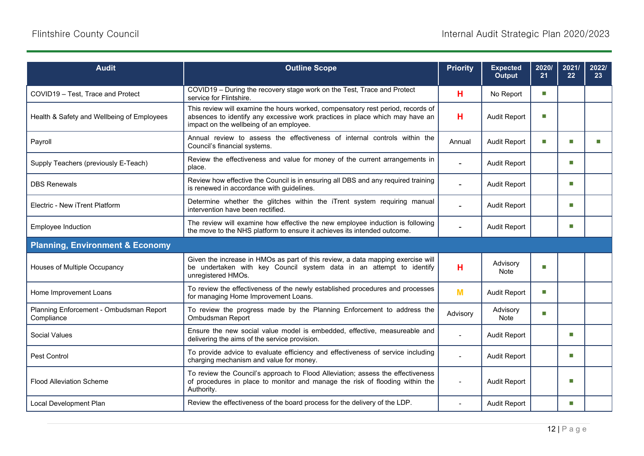| <b>Audit</b>                                          | <b>Outline Scope</b>                                                                                                                                                                                       | <b>Priority</b> | <b>Expected</b><br>Output | 2020/<br>21 | 2021/<br>22 | 2022/<br>23 <sup>°</sup> |
|-------------------------------------------------------|------------------------------------------------------------------------------------------------------------------------------------------------------------------------------------------------------------|-----------------|---------------------------|-------------|-------------|--------------------------|
| COVID19 - Test. Trace and Protect                     | COVID19 - During the recovery stage work on the Test, Trace and Protect<br>service for Flintshire.                                                                                                         | н               | No Report                 | П           |             |                          |
| Health & Safety and Wellbeing of Employees            | This review will examine the hours worked, compensatory rest period, records of<br>absences to identify any excessive work practices in place which may have an<br>impact on the wellbeing of an employee. | н               | <b>Audit Report</b>       | m.          |             |                          |
| Payroll                                               | Annual review to assess the effectiveness of internal controls within the<br>Council's financial systems.                                                                                                  | Annual          | <b>Audit Report</b>       | П           | П           |                          |
| Supply Teachers (previously E-Teach)                  | Review the effectiveness and value for money of the current arrangements in<br>place.                                                                                                                      |                 | <b>Audit Report</b>       |             | m.          |                          |
| <b>DBS Renewals</b>                                   | Review how effective the Council is in ensuring all DBS and any required training<br>is renewed in accordance with guidelines.                                                                             | $\sim$          | <b>Audit Report</b>       |             | m.          |                          |
| Electric - New iTrent Platform                        | Determine whether the glitches within the iTrent system requiring manual<br>intervention have been rectified.                                                                                              |                 | <b>Audit Report</b>       |             | m.          |                          |
| Employee Induction                                    | The review will examine how effective the new employee induction is following<br>the move to the NHS platform to ensure it achieves its intended outcome.                                                  |                 | <b>Audit Report</b>       |             | m.          |                          |
| <b>Planning, Environment &amp; Economy</b>            |                                                                                                                                                                                                            |                 |                           |             |             |                          |
| Houses of Multiple Occupancy                          | Given the increase in HMOs as part of this review, a data mapping exercise will<br>be undertaken with key Council system data in an attempt to identify<br>unregistered HMOs.                              | н               | Advisory<br>Note          | п           |             |                          |
| Home Improvement Loans                                | To review the effectiveness of the newly established procedures and processes<br>for managing Home Improvement Loans.                                                                                      | M               | <b>Audit Report</b>       | m.          |             |                          |
| Planning Enforcement - Ombudsman Report<br>Compliance | To review the progress made by the Planning Enforcement to address the<br>Ombudsman Report                                                                                                                 | Advisory        | Advisory<br><b>Note</b>   | П           |             |                          |
| <b>Social Values</b>                                  | Ensure the new social value model is embedded, effective, measureable and<br>delivering the aims of the service provision.                                                                                 |                 | <b>Audit Report</b>       |             | n.          |                          |
| Pest Control                                          | To provide advice to evaluate efficiency and effectiveness of service including<br>charging mechanism and value for money.                                                                                 |                 | <b>Audit Report</b>       |             | m.          |                          |
| <b>Flood Alleviation Scheme</b>                       | To review the Council's approach to Flood Alleviation; assess the effectiveness<br>of procedures in place to monitor and manage the risk of flooding within the<br>Authority.                              | $\sim$          | <b>Audit Report</b>       |             | m.          |                          |
| Local Development Plan                                | Review the effectiveness of the board process for the delivery of the LDP.                                                                                                                                 | $\blacksquare$  | <b>Audit Report</b>       |             | m.          |                          |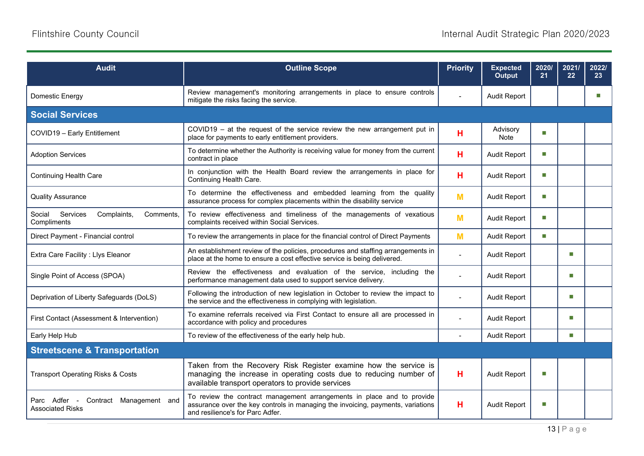| <b>Audit</b>                                                            | <b>Outline Scope</b>                                                                                                                                                                          | <b>Priority</b>          | <b>Expected</b><br>Output | 2020/<br>21 | 2021/<br>22 | 2022/<br>23 |
|-------------------------------------------------------------------------|-----------------------------------------------------------------------------------------------------------------------------------------------------------------------------------------------|--------------------------|---------------------------|-------------|-------------|-------------|
| Domestic Energy                                                         | Review management's monitoring arrangements in place to ensure controls<br>mitigate the risks facing the service.                                                                             |                          | <b>Audit Report</b>       |             |             |             |
| <b>Social Services</b>                                                  |                                                                                                                                                                                               |                          |                           |             |             |             |
| COVID19 - Early Entitlement                                             | $COVID19 - at$ the request of the service review the new arrangement put in<br>place for payments to early entitlement providers.                                                             | н                        | Advisory<br>Note          | П           |             |             |
| <b>Adoption Services</b>                                                | To determine whether the Authority is receiving value for money from the current<br>contract in place                                                                                         | н                        | <b>Audit Report</b>       | П           |             |             |
| <b>Continuing Health Care</b>                                           | In conjunction with the Health Board review the arrangements in place for<br>Continuing Health Care.                                                                                          | н                        | <b>Audit Report</b>       | П           |             |             |
| <b>Quality Assurance</b>                                                | To determine the effectiveness and embedded learning from the quality<br>assurance process for complex placements within the disability service                                               | M                        | <b>Audit Report</b>       | П           |             |             |
| Services<br>Complaints,<br>Comments,<br>Social<br>Compliments           | To review effectiveness and timeliness of the managements of vexatious<br>complaints received within Social Services.                                                                         | M                        | <b>Audit Report</b>       | П           |             |             |
| Direct Payment - Financial control                                      | To review the arrangements in place for the financial control of Direct Payments                                                                                                              | M                        | <b>Audit Report</b>       | П           |             |             |
| Extra Care Facility : Llys Eleanor                                      | An establishment review of the policies, procedures and staffing arrangements in<br>place at the home to ensure a cost effective service is being delivered.                                  | $\overline{\phantom{a}}$ | <b>Audit Report</b>       |             | m.          |             |
| Single Point of Access (SPOA)                                           | Review the effectiveness and evaluation of the service, including the<br>performance management data used to support service delivery.                                                        |                          | <b>Audit Report</b>       |             | m.          |             |
| Deprivation of Liberty Safeguards (DoLS)                                | Following the introduction of new legislation in October to review the impact to<br>the service and the effectiveness in complying with legislation.                                          |                          | <b>Audit Report</b>       |             | m.          |             |
| First Contact (Assessment & Intervention)                               | To examine referrals received via First Contact to ensure all are processed in<br>accordance with policy and procedures                                                                       |                          | <b>Audit Report</b>       |             | m.          |             |
| Early Help Hub                                                          | To review of the effectiveness of the early help hub.                                                                                                                                         |                          | Audit Report              |             | m.          |             |
| <b>Streetscene &amp; Transportation</b>                                 |                                                                                                                                                                                               |                          |                           |             |             |             |
| <b>Transport Operating Risks &amp; Costs</b>                            | Taken from the Recovery Risk Register examine how the service is<br>managing the increase in operating costs due to reducing number of<br>available transport operators to provide services   | н                        | <b>Audit Report</b>       | T.          |             |             |
| Parc Adfer<br>Contract Management and<br>$\sim 100$<br>Associated Risks | To review the contract management arrangements in place and to provide<br>assurance over the key controls in managing the invoicing, payments, variations<br>and resilience's for Parc Adfer. | н                        | <b>Audit Report</b>       | П           |             |             |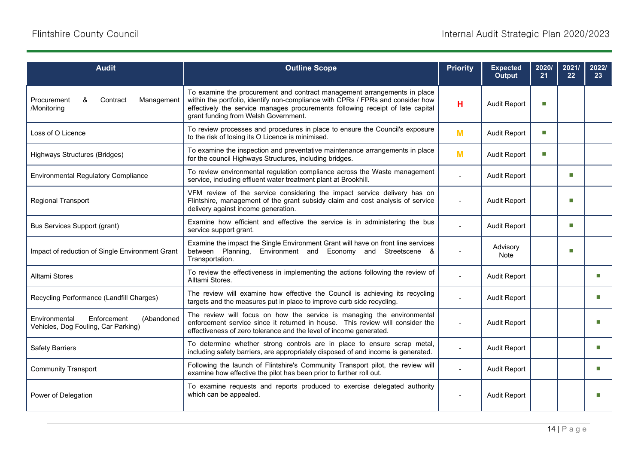| <b>Audit</b>                                                                      | <b>Outline Scope</b>                                                                                                                                                                                                                                                                  | <b>Priority</b> | <b>Expected</b><br>Output | 2020/<br>21 | 2021/<br>22 | 2022/<br>23 <sub>2</sub> |
|-----------------------------------------------------------------------------------|---------------------------------------------------------------------------------------------------------------------------------------------------------------------------------------------------------------------------------------------------------------------------------------|-----------------|---------------------------|-------------|-------------|--------------------------|
| Procurement<br>&<br>Contract<br>Management<br>/Monitoring                         | To examine the procurement and contract management arrangements in place<br>within the portfolio, identify non-compliance with CPRs / FPRs and consider how<br>effectively the service manages procurements following receipt of late capital<br>grant funding from Welsh Government. | н               | <b>Audit Report</b>       | П           |             |                          |
| Loss of O Licence                                                                 | To review processes and procedures in place to ensure the Council's exposure<br>to the risk of losing its O Licence is minimised.                                                                                                                                                     | M               | <b>Audit Report</b>       | П           |             |                          |
| Highways Structures (Bridges)                                                     | To examine the inspection and preventative maintenance arrangements in place<br>for the council Highways Structures, including bridges.                                                                                                                                               | M               | <b>Audit Report</b>       | П           |             |                          |
| <b>Environmental Regulatory Compliance</b>                                        | To review environmental regulation compliance across the Waste management<br>service, including effluent water treatment plant at Brookhill.                                                                                                                                          |                 | <b>Audit Report</b>       |             | m.          |                          |
| <b>Regional Transport</b>                                                         | VFM review of the service considering the impact service delivery has on<br>Flintshire, management of the grant subsidy claim and cost analysis of service<br>delivery against income generation.                                                                                     |                 | <b>Audit Report</b>       |             | п           |                          |
| <b>Bus Services Support (grant)</b>                                               | Examine how efficient and effective the service is in administering the bus<br>service support grant.                                                                                                                                                                                 |                 | <b>Audit Report</b>       |             | п           |                          |
| Impact of reduction of Single Environment Grant                                   | Examine the impact the Single Environment Grant will have on front line services<br>between Planning,<br>Environment and Economy and Streetscene &<br>Transportation.                                                                                                                 |                 | Advisory<br>Note          |             | П           |                          |
| <b>Alltami Stores</b>                                                             | To review the effectiveness in implementing the actions following the review of<br>Alltami Stores.                                                                                                                                                                                    |                 | <b>Audit Report</b>       |             |             | П                        |
| Recycling Performance (Landfill Charges)                                          | The review will examine how effective the Council is achieving its recycling<br>targets and the measures put in place to improve curb side recycling.                                                                                                                                 |                 | <b>Audit Report</b>       |             |             | ш                        |
| Environmental<br>Enforcement<br>(Abandoned<br>Vehicles, Dog Fouling, Car Parking) | The review will focus on how the service is managing the environmental<br>enforcement service since it returned in house. This review will consider the<br>effectiveness of zero tolerance and the level of income generated.                                                         |                 | <b>Audit Report</b>       |             |             |                          |
| <b>Safety Barriers</b>                                                            | To determine whether strong controls are in place to ensure scrap metal,<br>including safety barriers, are appropriately disposed of and income is generated.                                                                                                                         |                 | <b>Audit Report</b>       |             |             |                          |
| <b>Community Transport</b>                                                        | Following the launch of Flintshire's Community Transport pilot, the review will<br>examine how effective the pilot has been prior to further roll out.                                                                                                                                |                 | <b>Audit Report</b>       |             |             | m.                       |
| Power of Delegation                                                               | To examine requests and reports produced to exercise delegated authority<br>which can be appealed.                                                                                                                                                                                    | $\blacksquare$  | <b>Audit Report</b>       |             |             |                          |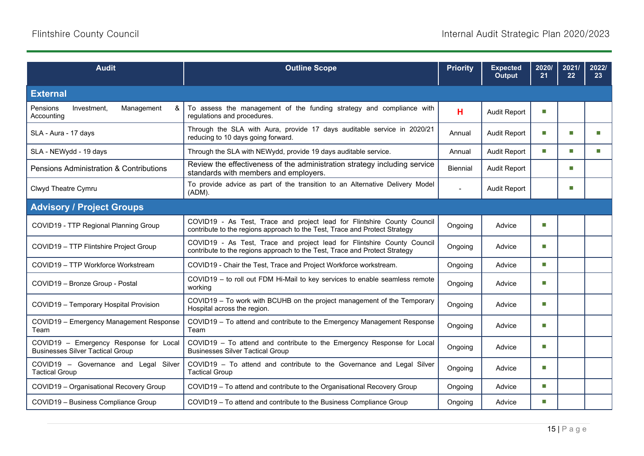| <b>Audit</b>                                                                      | <b>Outline Scope</b>                                                                                                                                  | <b>Priority</b> | <b>Expected</b><br><b>Output</b> | 2020/<br>21      | 2021/<br>22 | 2022/<br>23 |
|-----------------------------------------------------------------------------------|-------------------------------------------------------------------------------------------------------------------------------------------------------|-----------------|----------------------------------|------------------|-------------|-------------|
| <b>External</b>                                                                   |                                                                                                                                                       |                 |                                  |                  |             |             |
| Management<br>Pensions<br>Investment.<br>&<br>Accounting                          | To assess the management of the funding strategy and compliance with<br>regulations and procedures.                                                   | н               | <b>Audit Report</b>              | m.               |             |             |
| SLA - Aura - 17 days                                                              | Through the SLA with Aura, provide 17 days auditable service in 2020/21<br>reducing to 10 days going forward.                                         | Annual          | <b>Audit Report</b>              | m.               | m.          |             |
| SLA - NEWydd - 19 days                                                            | Through the SLA with NEWydd, provide 19 days auditable service.                                                                                       | Annual          | <b>Audit Report</b>              | <b>Tale</b>      | m.          | П           |
| <b>Pensions Administration &amp; Contributions</b>                                | Review the effectiveness of the administration strategy including service<br>standards with members and employers.                                    | <b>Biennial</b> | <b>Audit Report</b>              |                  | П           |             |
| Clwyd Theatre Cymru                                                               | To provide advice as part of the transition to an Alternative Delivery Model<br>(ADM).                                                                |                 | <b>Audit Report</b>              |                  | П           |             |
| <b>Advisory / Project Groups</b>                                                  |                                                                                                                                                       |                 |                                  |                  |             |             |
| COVID19 - TTP Regional Planning Group                                             | COVID19 - As Test, Trace and project lead for Flintshire County Council<br>contribute to the regions approach to the Test, Trace and Protect Strategy | Ongoing         | Advice                           | m.               |             |             |
| COVID19 - TTP Flintshire Project Group                                            | COVID19 - As Test, Trace and project lead for Flintshire County Council<br>contribute to the regions approach to the Test, Trace and Protect Strategy | Ongoing         | Advice                           | Ш                |             |             |
| COVID19 - TTP Workforce Workstream                                                | COVID19 - Chair the Test, Trace and Project Workforce workstream.                                                                                     | Ongoing         | Advice                           | <b>Tale</b>      |             |             |
| COVID19 - Bronze Group - Postal                                                   | COVID19 - to roll out FDM Hi-Mail to key services to enable seamless remote<br>working                                                                | Ongoing         | Advice                           | <b>The State</b> |             |             |
| COVID19 - Temporary Hospital Provision                                            | COVID19 - To work with BCUHB on the project management of the Temporary<br>Hospital across the region.                                                | Ongoing         | Advice                           | m.               |             |             |
| COVID19 - Emergency Management Response<br>Team                                   | COVID19 - To attend and contribute to the Emergency Management Response<br>Team                                                                       | Ongoing         | Advice                           | T.               |             |             |
| COVID19 - Emergency Response for Local<br><b>Businesses Silver Tactical Group</b> | COVID19 - To attend and contribute to the Emergency Response for Local<br><b>Businesses Silver Tactical Group</b>                                     | Ongoing         | Advice                           | m.               |             |             |
| COVID19 - Governance and Legal Silver<br><b>Tactical Group</b>                    | COVID19 - To attend and contribute to the Governance and Legal Silver<br><b>Tactical Group</b>                                                        | Ongoing         | Advice                           | <b>The State</b> |             |             |
| COVID19 - Organisational Recovery Group                                           | COVID19 - To attend and contribute to the Organisational Recovery Group                                                                               | Ongoing         | Advice                           | <b>The State</b> |             |             |
| COVID19 - Business Compliance Group                                               | COVID19 - To attend and contribute to the Business Compliance Group                                                                                   | Ongoing         | Advice                           | П                |             |             |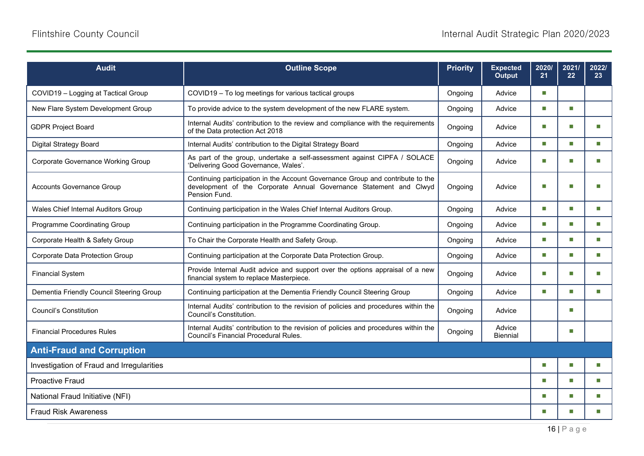| <b>Audit</b>                              | <b>Outline Scope</b>                                                                                                                                                  | <b>Priority</b> | <b>Expected</b><br>Output | 2020/<br>21                 | 2021/<br>22                 | 2022/<br>23 |
|-------------------------------------------|-----------------------------------------------------------------------------------------------------------------------------------------------------------------------|-----------------|---------------------------|-----------------------------|-----------------------------|-------------|
| COVID19 - Logging at Tactical Group       | COVID19 - To log meetings for various tactical groups                                                                                                                 | Ongoing         | Advice                    | m.                          |                             |             |
| New Flare System Development Group        | To provide advice to the system development of the new FLARE system.                                                                                                  | Ongoing         | Advice                    | $\Box$                      | m.                          |             |
| <b>GDPR Project Board</b>                 | Internal Audits' contribution to the review and compliance with the requirements<br>of the Data protection Act 2018                                                   | Ongoing         | Advice                    | m.                          | m.                          |             |
| <b>Digital Strategy Board</b>             | Internal Audits' contribution to the Digital Strategy Board                                                                                                           | Ongoing         | Advice                    | m.                          | $\mathcal{L}_{\mathcal{A}}$ | m.          |
| <b>Corporate Governance Working Group</b> | As part of the group, undertake a self-assessment against CIPFA / SOLACE<br>'Delivering Good Governance, Wales'.                                                      | Ongoing         | Advice                    | m.                          | m.                          |             |
| Accounts Governance Group                 | Continuing participation in the Account Governance Group and contribute to the<br>development of the Corporate Annual Governance Statement and Clwyd<br>Pension Fund. | Ongoing         | Advice                    | П                           | □                           |             |
| Wales Chief Internal Auditors Group       | Continuing participation in the Wales Chief Internal Auditors Group.                                                                                                  | Ongoing         | Advice                    | m.                          | m.                          | m.          |
| Programme Coordinating Group              | Continuing participation in the Programme Coordinating Group.                                                                                                         | Ongoing         | Advice                    | П                           | m.                          | m.          |
| Corporate Health & Safety Group           | To Chair the Corporate Health and Safety Group.                                                                                                                       | Ongoing         | Advice                    | m.                          | m.                          | m.          |
| Corporate Data Protection Group           | Continuing participation at the Corporate Data Protection Group.                                                                                                      | Ongoing         | Advice                    | $\mathcal{L}_{\mathcal{A}}$ | $\sim$                      | m.          |
| <b>Financial System</b>                   | Provide Internal Audit advice and support over the options appraisal of a new<br>financial system to replace Masterpiece.                                             | Ongoing         | Advice                    | П                           | ш                           |             |
| Dementia Friendly Council Steering Group  | Continuing participation at the Dementia Friendly Council Steering Group                                                                                              | Ongoing         | Advice                    | m.                          | m.                          | m.          |
| <b>Council's Constitution</b>             | Internal Audits' contribution to the revision of policies and procedures within the<br>Council's Constitution.                                                        | Ongoing         | Advice                    |                             | m.                          |             |
| <b>Financial Procedures Rules</b>         | Internal Audits' contribution to the revision of policies and procedures within the<br>Council's Financial Procedural Rules.                                          | Ongoing         | Advice<br><b>Biennial</b> |                             | П                           |             |
| <b>Anti-Fraud and Corruption</b>          |                                                                                                                                                                       |                 |                           |                             |                             |             |
| Investigation of Fraud and Irregularities |                                                                                                                                                                       |                 |                           | П                           | П                           |             |
| <b>Proactive Fraud</b>                    |                                                                                                                                                                       |                 |                           | П                           | m.                          | m.          |
| National Fraud Initiative (NFI)           |                                                                                                                                                                       |                 |                           | П                           | m.                          | m.          |
| <b>Fraud Risk Awareness</b>               |                                                                                                                                                                       |                 |                           | П                           | m.                          |             |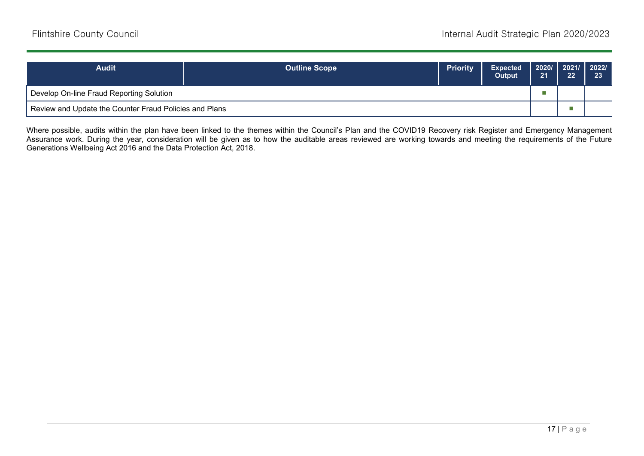| <b>Audit</b>                                           | <b>Outline Scope</b> | <b>Priority</b> | <b>Expected</b><br><b>Output</b> | 2020/   2021/   2022/  <br>21 | 22 | 23 |
|--------------------------------------------------------|----------------------|-----------------|----------------------------------|-------------------------------|----|----|
| Develop On-line Fraud Reporting Solution               |                      |                 |                                  |                               |    |    |
| Review and Update the Counter Fraud Policies and Plans |                      |                 |                                  |                               |    |    |

Where possible, audits within the plan have been linked to the themes within the Council's Plan and the COVID19 Recovery risk Register and Emergency Management Assurance work. During the year, consideration will be given as to how the auditable areas reviewed are working towards and meeting the requirements of the Future Generations Wellbeing Act 2016 and the Data Protection Act, 2018.